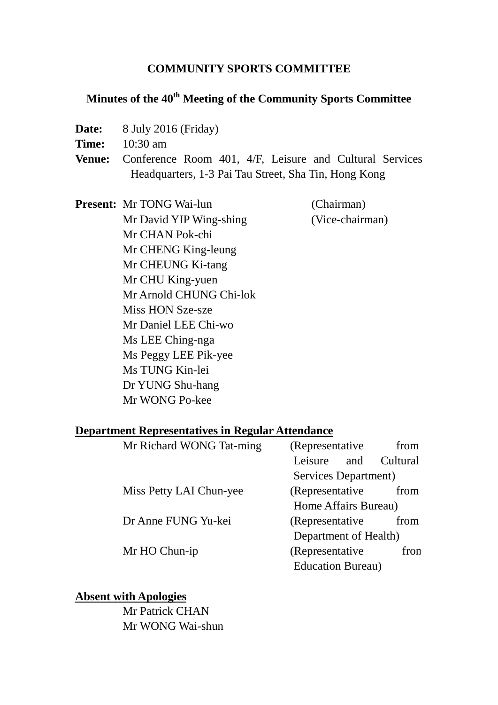### **COMMUNITY SPORTS COMMITTEE**

# **Minutes of the 40th Meeting of the Community Sports Committee**

- **Date:** 8 July 2016 (Friday)
- **Time:** 10:30 am
- **Venue:** Conference Room 401, 4/F, Leisure and Cultural Services Headquarters, 1-3 Pai Tau Street, Sha Tin, Hong Kong

**Present:** Mr TONG Wai-lun (Chairman) Mr David YIP Wing-shing (Vice-chairman) Mr CHAN Pok-chi Mr CHENG King-leung Mr CHEUNG Ki-tang Mr CHU King-yuen Mr Arnold CHUNG Chi-lok Miss HON Sze-sze Mr Daniel LEE Chi-wo Ms LEE Ching-nga Ms Peggy LEE Pik-yee Ms TUNG Kin-lei Dr YUNG Shu-hang Mr WONG Po-kee

#### **Department Representatives in Regular Attendance**

| Mr Richard WONG Tat-ming | (Representative)          | from     |
|--------------------------|---------------------------|----------|
|                          | Leisure<br>and            | Cultural |
|                          | Services Department)      |          |
| Miss Petty LAI Chun-yee  | (Representative)          | from     |
|                          | Home Affairs Bureau)      |          |
| Dr Anne FUNG Yu-kei      | (Representative)          | from     |
|                          | Department of Health)     |          |
| Mr HO Chun-ip            | (Representative           | fron     |
|                          | <b>Education Bureau</b> ) |          |

### **Absent with Apologies**

Mr Patrick CHAN Mr WONG Wai-shun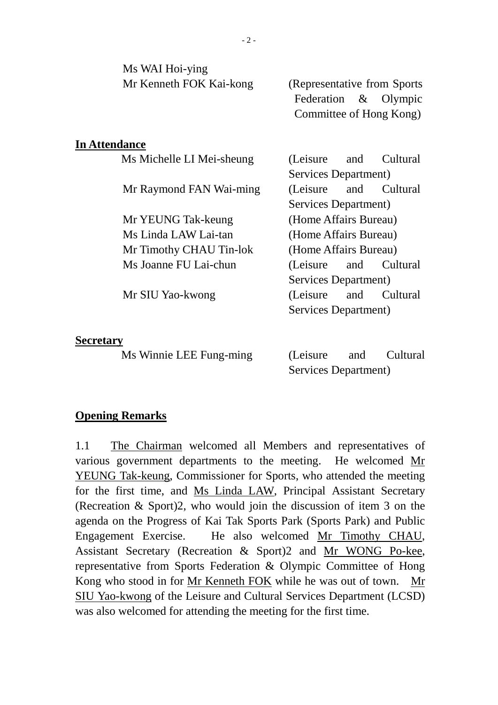| Ms WAI Hoi-ying           |                              |  |
|---------------------------|------------------------------|--|
| Mr Kenneth FOK Kai-kong   | (Representative from Sports) |  |
|                           | Federation & Olympic         |  |
|                           | Committee of Hong Kong)      |  |
|                           |                              |  |
| <b>In Attendance</b>      |                              |  |
| Ms Michelle LI Mei-sheung | (Leisure)<br>Cultural<br>and |  |
|                           | Services Department)         |  |
| Mr Raymond FAN Wai-ming   | (Leisure)<br>and<br>Cultural |  |
|                           | Services Department)         |  |
| Mr YEUNG Tak-keung        | (Home Affairs Bureau)        |  |
| Ms Linda LAW Lai-tan      | (Home Affairs Bureau)        |  |
| Mr Timothy CHAU Tin-lok   | (Home Affairs Bureau)        |  |
| Ms Joanne FU Lai-chun     | (Leisure)<br>and<br>Cultural |  |
|                           | Services Department)         |  |
| Mr SIU Yao-kwong          | (Leisure)<br>and<br>Cultural |  |
|                           | Services Department)         |  |
|                           |                              |  |
| <b>Secretary</b>          |                              |  |

#### **Secretary**

Ms Winnie LEE Fung-ming (Leisure and Cultural

Services Department)

### **Opening Remarks**

1.1 The Chairman welcomed all Members and representatives of various government departments to the meeting. He welcomed Mr YEUNG Tak-keung, Commissioner for Sports, who attended the meeting for the first time, and Ms Linda LAW, Principal Assistant Secretary (Recreation & Sport)2, who would join the discussion of item 3 on the agenda on the Progress of Kai Tak Sports Park (Sports Park) and Public Engagement Exercise. He also welcomed Mr Timothy CHAU, Assistant Secretary (Recreation & Sport)2 and Mr WONG Po-kee, representative from Sports Federation & Olympic Committee of Hong Kong who stood in for Mr Kenneth FOK while he was out of town. Mr SIU Yao-kwong of the Leisure and Cultural Services Department (LCSD) was also welcomed for attending the meeting for the first time.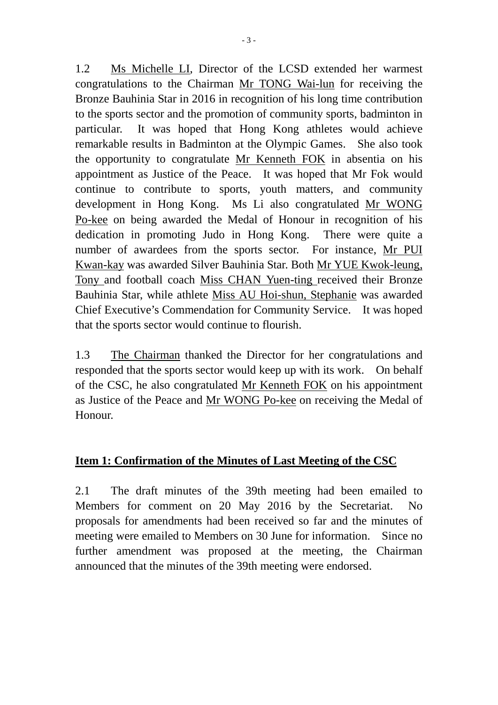1.2 Ms Michelle LI, Director of the LCSD extended her warmest congratulations to the Chairman Mr TONG Wai-lun for receiving the Bronze Bauhinia Star in 2016 in recognition of his long time contribution to the sports sector and the promotion of community sports, badminton in particular. It was hoped that Hong Kong athletes would achieve remarkable results in Badminton at the Olympic Games. She also took the opportunity to congratulate Mr Kenneth FOK in absentia on his appointment as Justice of the Peace. It was hoped that Mr Fok would continue to contribute to sports, youth matters, and community development in Hong Kong. Ms Li also congratulated Mr WONG Po-kee on being awarded the Medal of Honour in recognition of his dedication in promoting Judo in Hong Kong. There were quite a number of awardees from the sports sector. For instance, Mr PUI Kwan-kay was awarded Silver Bauhinia Star. Both Mr YUE Kwok-leung, Tony and football coach Miss CHAN Yuen-ting received their Bronze Bauhinia Star, while athlete Miss AU Hoi-shun, Stephanie was awarded Chief Executive's Commendation for Community Service. It was hoped that the sports sector would continue to flourish.

1.3 The Chairman thanked the Director for her congratulations and responded that the sports sector would keep up with its work. On behalf of the CSC, he also congratulated Mr Kenneth FOK on his appointment as Justice of the Peace and Mr WONG Po-kee on receiving the Medal of Honour.

## **Item 1: Confirmation of the Minutes of Last Meeting of the CSC**

2.1 The draft minutes of the 39th meeting had been emailed to Members for comment on 20 May 2016 by the Secretariat. No proposals for amendments had been received so far and the minutes of meeting were emailed to Members on 30 June for information. Since no further amendment was proposed at the meeting, the Chairman announced that the minutes of the 39th meeting were endorsed.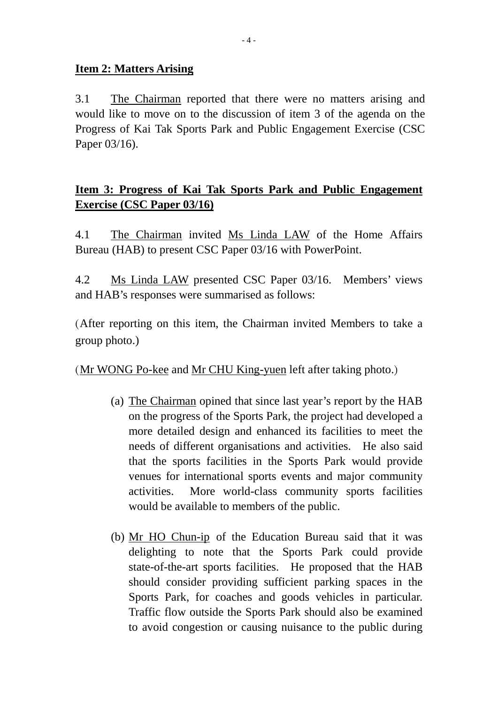### **Item 2: Matters Arising**

3.1 The Chairman reported that there were no matters arising and would like to move on to the discussion of item 3 of the agenda on the Progress of Kai Tak Sports Park and Public Engagement Exercise (CSC Paper 03/16).

# **Item 3: Progress of Kai Tak Sports Park and Public Engagement Exercise (CSC Paper 03/16)**

4.1 The Chairman invited Ms Linda LAW of the Home Affairs Bureau (HAB) to present CSC Paper 03/16 with PowerPoint.

4.2 Ms Linda LAW presented CSC Paper 03/16. Members' views and HAB's responses were summarised as follows:

(After reporting on this item, the Chairman invited Members to take a group photo.)

(Mr WONG Po-kee and Mr CHU King-yuen left after taking photo.)

- (a) The Chairman opined that since last year's report by the HAB on the progress of the Sports Park, the project had developed a more detailed design and enhanced its facilities to meet the needs of different organisations and activities. He also said that the sports facilities in the Sports Park would provide venues for international sports events and major community activities. More world-class community sports facilities would be available to members of the public.
- (b) Mr HO Chun-ip of the Education Bureau said that it was delighting to note that the Sports Park could provide state-of-the-art sports facilities. He proposed that the HAB should consider providing sufficient parking spaces in the Sports Park, for coaches and goods vehicles in particular. Traffic flow outside the Sports Park should also be examined to avoid congestion or causing nuisance to the public during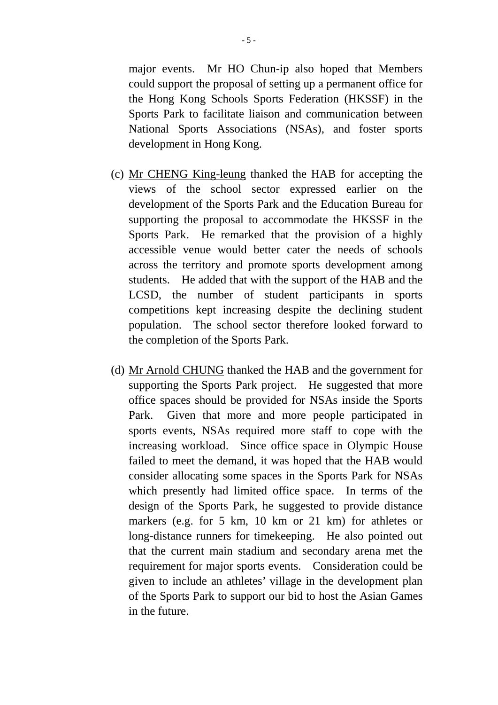major events. Mr HO Chun-ip also hoped that Members could support the proposal of setting up a permanent office for the Hong Kong Schools Sports Federation (HKSSF) in the Sports Park to facilitate liaison and communication between National Sports Associations (NSAs), and foster sports development in Hong Kong.

- (c) Mr CHENG King-leung thanked the HAB for accepting the views of the school sector expressed earlier on the development of the Sports Park and the Education Bureau for supporting the proposal to accommodate the HKSSF in the Sports Park. He remarked that the provision of a highly accessible venue would better cater the needs of schools across the territory and promote sports development among students. He added that with the support of the HAB and the LCSD, the number of student participants in sports competitions kept increasing despite the declining student population. The school sector therefore looked forward to the completion of the Sports Park.
- (d) Mr Arnold CHUNG thanked the HAB and the government for supporting the Sports Park project. He suggested that more office spaces should be provided for NSAs inside the Sports Park. Given that more and more people participated in sports events, NSAs required more staff to cope with the increasing workload. Since office space in Olympic House failed to meet the demand, it was hoped that the HAB would consider allocating some spaces in the Sports Park for NSAs which presently had limited office space. In terms of the design of the Sports Park, he suggested to provide distance markers (e.g. for 5 km, 10 km or 21 km) for athletes or long-distance runners for timekeeping. He also pointed out that the current main stadium and secondary arena met the requirement for major sports events. Consideration could be given to include an athletes' village in the development plan of the Sports Park to support our bid to host the Asian Games in the future.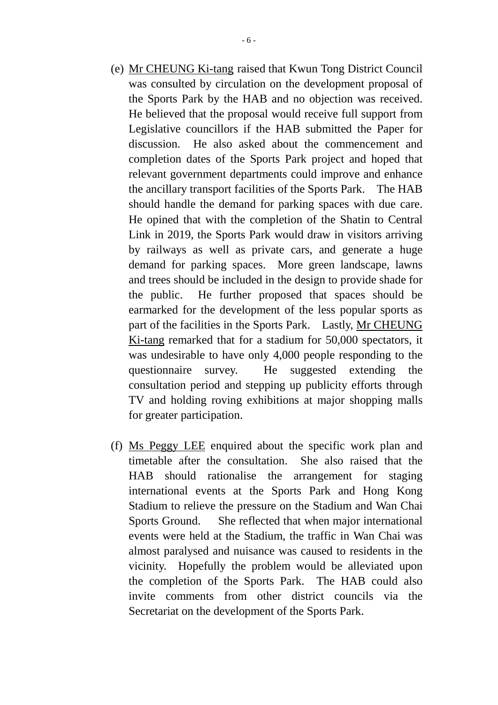- (e) Mr CHEUNG Ki-tang raised that Kwun Tong District Council was consulted by circulation on the development proposal of the Sports Park by the HAB and no objection was received. He believed that the proposal would receive full support from Legislative councillors if the HAB submitted the Paper for discussion. He also asked about the commencement and completion dates of the Sports Park project and hoped that relevant government departments could improve and enhance the ancillary transport facilities of the Sports Park. The HAB should handle the demand for parking spaces with due care. He opined that with the completion of the Shatin to Central Link in 2019, the Sports Park would draw in visitors arriving by railways as well as private cars, and generate a huge demand for parking spaces. More green landscape, lawns and trees should be included in the design to provide shade for the public. He further proposed that spaces should be earmarked for the development of the less popular sports as part of the facilities in the Sports Park. Lastly, Mr CHEUNG Ki-tang remarked that for a stadium for 50,000 spectators, it was undesirable to have only 4,000 people responding to the questionnaire survey. He suggested extending the consultation period and stepping up publicity efforts through TV and holding roving exhibitions at major shopping malls for greater participation.
- (f) Ms Peggy LEE enquired about the specific work plan and timetable after the consultation. She also raised that the HAB should rationalise the arrangement for staging international events at the Sports Park and Hong Kong Stadium to relieve the pressure on the Stadium and Wan Chai Sports Ground. She reflected that when major international events were held at the Stadium, the traffic in Wan Chai was almost paralysed and nuisance was caused to residents in the vicinity. Hopefully the problem would be alleviated upon the completion of the Sports Park. The HAB could also invite comments from other district councils via the Secretariat on the development of the Sports Park.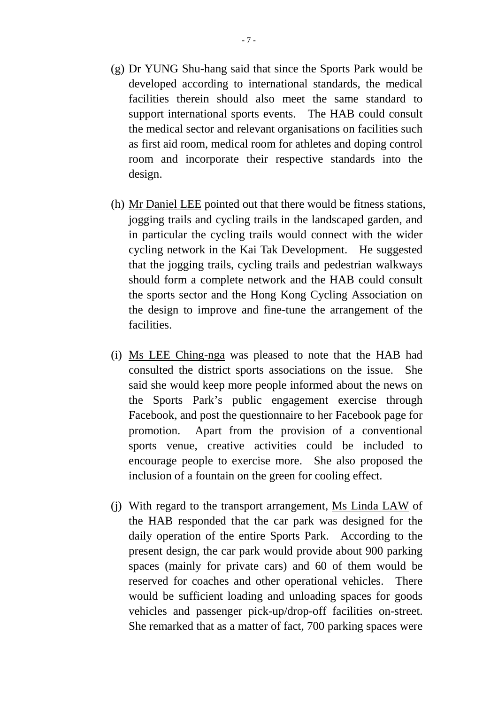- (g) Dr YUNG Shu-hang said that since the Sports Park would be developed according to international standards, the medical facilities therein should also meet the same standard to support international sports events. The HAB could consult the medical sector and relevant organisations on facilities such as first aid room, medical room for athletes and doping control room and incorporate their respective standards into the design.
- (h) Mr Daniel LEE pointed out that there would be fitness stations, jogging trails and cycling trails in the landscaped garden, and in particular the cycling trails would connect with the wider cycling network in the Kai Tak Development. He suggested that the jogging trails, cycling trails and pedestrian walkways should form a complete network and the HAB could consult the sports sector and the Hong Kong Cycling Association on the design to improve and fine-tune the arrangement of the facilities.
- (i) Ms LEE Ching-nga was pleased to note that the HAB had consulted the district sports associations on the issue. She said she would keep more people informed about the news on the Sports Park's public engagement exercise through Facebook, and post the questionnaire to her Facebook page for promotion. Apart from the provision of a conventional sports venue, creative activities could be included to encourage people to exercise more. She also proposed the inclusion of a fountain on the green for cooling effect.
- (j) With regard to the transport arrangement, Ms Linda LAW of the HAB responded that the car park was designed for the daily operation of the entire Sports Park. According to the present design, the car park would provide about 900 parking spaces (mainly for private cars) and 60 of them would be reserved for coaches and other operational vehicles. There would be sufficient loading and unloading spaces for goods vehicles and passenger pick-up/drop-off facilities on-street. She remarked that as a matter of fact, 700 parking spaces were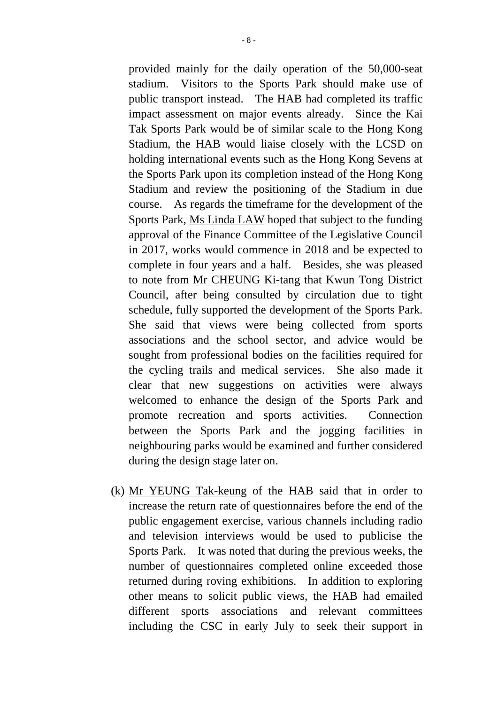provided mainly for the daily operation of the 50,000-seat stadium. Visitors to the Sports Park should make use of public transport instead. The HAB had completed its traffic impact assessment on major events already. Since the Kai Tak Sports Park would be of similar scale to the Hong Kong Stadium, the HAB would liaise closely with the LCSD on holding international events such as the Hong Kong Sevens at the Sports Park upon its completion instead of the Hong Kong Stadium and review the positioning of the Stadium in due course. As regards the timeframe for the development of the Sports Park, Ms Linda LAW hoped that subject to the funding approval of the Finance Committee of the Legislative Council in 2017, works would commence in 2018 and be expected to complete in four years and a half. Besides, she was pleased to note from Mr CHEUNG Ki-tang that Kwun Tong District Council, after being consulted by circulation due to tight schedule, fully supported the development of the Sports Park. She said that views were being collected from sports associations and the school sector, and advice would be sought from professional bodies on the facilities required for the cycling trails and medical services. She also made it clear that new suggestions on activities were always welcomed to enhance the design of the Sports Park and promote recreation and sports activities. Connection between the Sports Park and the jogging facilities in neighbouring parks would be examined and further considered during the design stage later on.

(k) Mr YEUNG Tak-keung of the HAB said that in order to increase the return rate of questionnaires before the end of the public engagement exercise, various channels including radio and television interviews would be used to publicise the Sports Park. It was noted that during the previous weeks, the number of questionnaires completed online exceeded those returned during roving exhibitions. In addition to exploring other means to solicit public views, the HAB had emailed different sports associations and relevant committees including the CSC in early July to seek their support in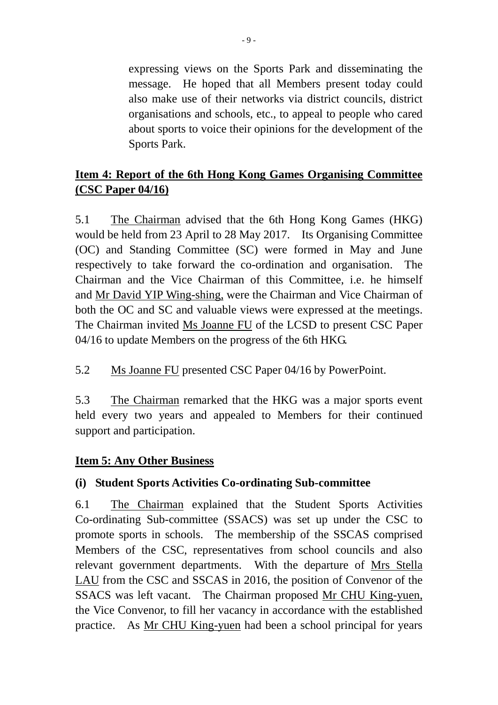expressing views on the Sports Park and disseminating the message. He hoped that all Members present today could also make use of their networks via district councils, district organisations and schools, etc., to appeal to people who cared about sports to voice their opinions for the development of the Sports Park.

# **Item 4: Report of the 6th Hong Kong Games Organising Committee (CSC Paper 04/16)**

5.1 The Chairman advised that the 6th Hong Kong Games (HKG) would be held from 23 April to 28 May 2017. Its Organising Committee (OC) and Standing Committee (SC) were formed in May and June respectively to take forward the co-ordination and organisation. The Chairman and the Vice Chairman of this Committee, i.e. he himself and Mr David YIP Wing-shing, were the Chairman and Vice Chairman of both the OC and SC and valuable views were expressed at the meetings. The Chairman invited Ms Joanne FU of the LCSD to present CSC Paper 04/16 to update Members on the progress of the 6th HKG.

5.2 Ms Joanne FU presented CSC Paper 04/16 by PowerPoint.

5.3 The Chairman remarked that the HKG was a major sports event held every two years and appealed to Members for their continued support and participation.

## **Item 5: Any Other Business**

## **(i) Student Sports Activities Co-ordinating Sub-committee**

6.1 The Chairman explained that the Student Sports Activities Co-ordinating Sub-committee (SSACS) was set up under the CSC to promote sports in schools. The membership of the SSCAS comprised Members of the CSC, representatives from school councils and also relevant government departments. With the departure of Mrs Stella LAU from the CSC and SSCAS in 2016, the position of Convenor of the SSACS was left vacant. The Chairman proposed Mr CHU King-yuen, the Vice Convenor, to fill her vacancy in accordance with the established practice. As Mr CHU King-yuen had been a school principal for years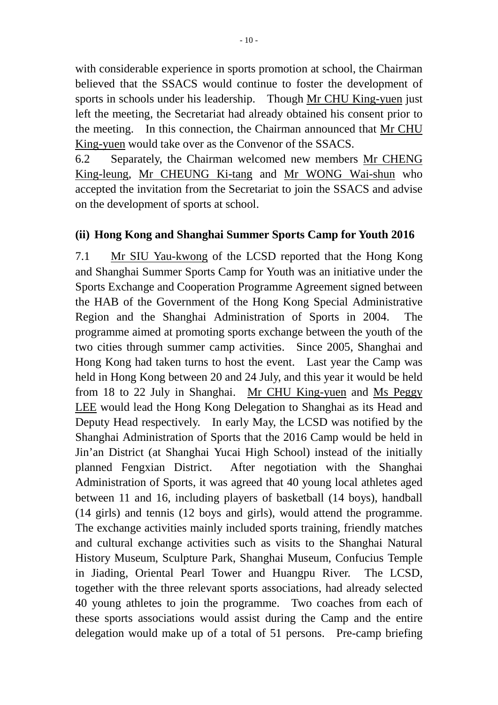with considerable experience in sports promotion at school, the Chairman believed that the SSACS would continue to foster the development of sports in schools under his leadership. Though Mr CHU King-yuen just left the meeting, the Secretariat had already obtained his consent prior to the meeting. In this connection, the Chairman announced that Mr CHU King-yuen would take over as the Convenor of the SSACS.

6.2 Separately, the Chairman welcomed new members Mr CHENG King-leung, Mr CHEUNG Ki-tang and Mr WONG Wai-shun who accepted the invitation from the Secretariat to join the SSACS and advise on the development of sports at school.

## **(ii) Hong Kong and Shanghai Summer Sports Camp for Youth 2016**

7.1 Mr SIU Yau-kwong of the LCSD reported that the Hong Kong and Shanghai Summer Sports Camp for Youth was an initiative under the Sports Exchange and Cooperation Programme Agreement signed between the HAB of the Government of the Hong Kong Special Administrative Region and the Shanghai Administration of Sports in 2004. The programme aimed at promoting sports exchange between the youth of the two cities through summer camp activities. Since 2005, Shanghai and Hong Kong had taken turns to host the event. Last year the Camp was held in Hong Kong between 20 and 24 July, and this year it would be held from 18 to 22 July in Shanghai. Mr CHU King-yuen and Ms Peggy LEE would lead the Hong Kong Delegation to Shanghai as its Head and Deputy Head respectively. In early May, the LCSD was notified by the Shanghai Administration of Sports that the 2016 Camp would be held in Jin'an District (at Shanghai Yucai High School) instead of the initially planned Fengxian District. After negotiation with the Shanghai Administration of Sports, it was agreed that 40 young local athletes aged between 11 and 16, including players of basketball (14 boys), handball (14 girls) and tennis (12 boys and girls), would attend the programme. The exchange activities mainly included sports training, friendly matches and cultural exchange activities such as visits to the Shanghai Natural History Museum, Sculpture Park, Shanghai Museum, Confucius Temple in Jiading, Oriental Pearl Tower and Huangpu River. The LCSD, together with the three relevant sports associations, had already selected 40 young athletes to join the programme. Two coaches from each of these sports associations would assist during the Camp and the entire delegation would make up of a total of 51 persons. Pre-camp briefing